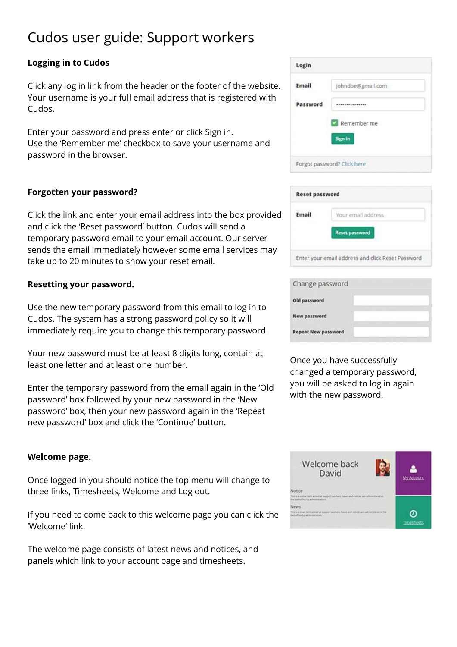# Cudos user guide: Support workers

# **Logging in to Cudos**

Click any log in link from the header or the footer of the website. Your username is your full email address that is registered with Cudos.

Enter your password and press enter or click Sign in. Use the 'Remember me' checkbox to save your username and password in the browser.

# **Forgotten your password?**

Click the link and enter your email address into the box provided and click the 'Reset password' button. Cudos will send a temporary password email to your email account. Our server sends the email immediately however some email services may take up to 20 minutes to show your reset email.

## **Resetting your password.**

Use the new temporary password from this email to log in to Cudos. The system has a strong password policy so it will immediately require you to change this temporary password.

Your new password must be at least 8 digits long, contain at least one letter and at least one number.

Enter the temporary password from the email again in the 'Old password' box followed by your new password in the 'New password' box, then your new password again in the 'Repeat new password' box and click the 'Continue' button.

## **Welcome page.**

Once logged in you should notice the top menu will change to three links, Timesheets, Welcome and Log out.

If you need to come back to this welcome page you can click the 'Welcome' link.

The welcome page consists of latest news and notices, and panels which link to your account page and timesheets.

| Email    | johndoe@gmail.com |
|----------|-------------------|
| Password | *************     |
|          |                   |
|          |                   |
|          | Remember me       |
|          | Sign in           |

| Email | Your email address    |
|-------|-----------------------|
|       | <b>Reset password</b> |

| Change password            |  |
|----------------------------|--|
| Old password               |  |
| New password               |  |
| <b>Repeat New password</b> |  |

Once you have successfully changed a temporary password, you will be asked to log in again with the new password.

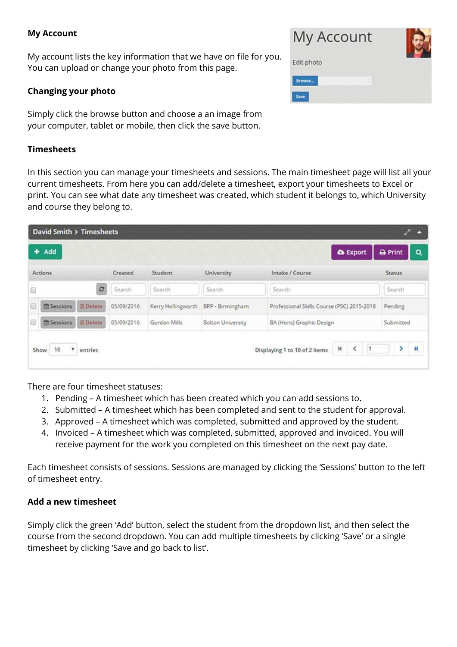#### **My Account**

My account lists the key information that we have on file for you. You can upload or change your photo from this page.

#### **Changing your photo**

Simply click the browse button and choose a an image from your computer, tablet or mobile, then click the save button.

#### **Timesheets**

In this section you can manage your timesheets and sessions. The main timesheet page will list all your current timesheets. From here you can add/delete a timesheet, export your timesheets to Excel or print. You can see what date any timesheet was created, which student it belongs to, which University and course they belong to.

| David Smith > Timesheets                       |            |                    |                          |                                                      | احز<br>r                   |
|------------------------------------------------|------------|--------------------|--------------------------|------------------------------------------------------|----------------------------|
| Add<br>٠                                       |            |                    |                          | <b>A</b> Export                                      | <b>A</b> Print<br>Q        |
| Actions                                        | Created    | Student            | University               | Intake / Course                                      | <b>Status</b>              |
| c<br>Θ                                         | Search     | Search             | Search                   | Search                                               | Search                     |
| <b>B</b> Delete<br><sup>68</sup> Sessions<br>e | 05/09/2016 | Kerry Hollingworth | BPP - Birmingham         | Professional Skills Course (PSC) 2015-2018           | Pending                    |
| 0<br><b>M</b> Sessions<br><b>B</b> Delete      | 05/09/2016 | Gordon Mills       | <b>Bolton University</b> | BA (Hons) Graphic Design                             | Submitted                  |
| ۷<br>10<br>Show<br>entries                     |            |                    |                          | H<br>∢<br>$\vert$ 1<br>Displaying 1 to 10 of 2 items | $\blacktriangleright$<br>× |

There are four timesheet statuses:

- 1. Pending A timesheet which has been created which you can add sessions to.
- 2. Submitted A timesheet which has been completed and sent to the student for approval.
- 3. Approved A timesheet which was completed, submitted and approved by the student.
- 4. Invoiced A timesheet which was completed, submitted, approved and invoiced. You will receive payment for the work you completed on this timesheet on the next pay date.

Each timesheet consists of sessions. Sessions are managed by clicking the 'Sessions' button to the left of timesheet entry.

## **Add a new timesheet**

Simply click the green 'Add' button, select the student from the dropdown list, and then select the course from the second dropdown. You can add multiple timesheets by clicking 'Save' or a single timesheet by clicking 'Save and go back to list'.

| My Account |  |
|------------|--|
| Edit photo |  |
| Browse     |  |
| Save       |  |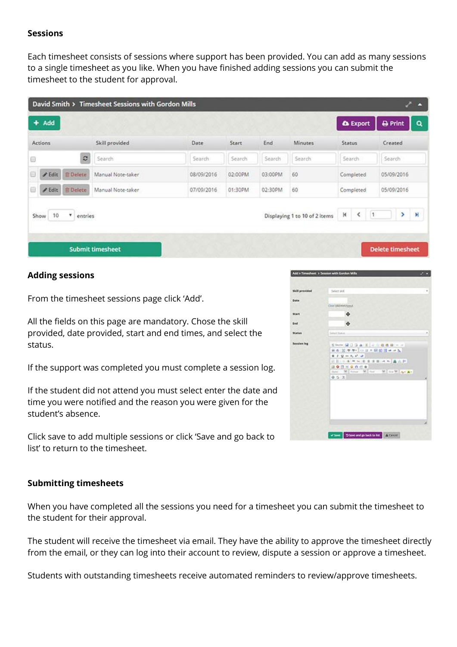## **Sessions**

Each timesheet consists of sessions where support has been provided. You can add as many sessions to a single timesheet as you like. When you have finished adding sessions you can submit the timesheet to the student for approval.

|                                         | David Smith > Timesheet Sessions with Gordon Mills |        |                                        |        |                               |               |                 |           |                         | <b>AT</b><br>B |  |
|-----------------------------------------|----------------------------------------------------|--------|----------------------------------------|--------|-------------------------------|---------------|-----------------|-----------|-------------------------|----------------|--|
| Add<br>٠                                |                                                    |        |                                        |        |                               |               | <b>A</b> Export |           | <b>A</b> Print          | Q              |  |
| Actions                                 | Skill provided                                     | Date   | Start                                  | End    | <b>Minutes</b>                | <b>Status</b> |                 |           | Created                 |                |  |
| Đ                                       | $\circ$<br>Search                                  | Search | Search                                 | Search | Search                        | Search        |                 |           | Search                  |                |  |
| Θ<br><b>E</b> Delete<br>$\sqrt{E}$ Edit | Manual Note-taker                                  |        | 60<br>08/09/2016<br>02:00PM<br>03:00PM |        |                               | Completed     |                 |           | 05/09/2016              |                |  |
| 圓<br><b>官Delete</b><br>$\ell$ Edit      | Manual Note-taker                                  |        | 60<br>02:30PM<br>07/09/2016<br>01:30PM |        | Completed                     |               | 05/09/2016      |           |                         |                |  |
| Show<br>10<br>۰                         | entries                                            |        |                                        |        | Displaying 1 to 10 of 2 items | ĸ             | ∢               | $\vert$ 1 | ×                       | $\mathbb N$    |  |
|                                         |                                                    |        |                                        |        |                               |               |                 |           |                         |                |  |
|                                         | <b>Submit timesheet</b>                            |        |                                        |        |                               |               |                 |           | <b>Delete timesheet</b> |                |  |

## **Adding sessions**

From the timesheet sessions page click 'Add'.

All the fields on this page are mandatory. Chose the skill provided, date provided, start and end times, and select the status.

If the support was completed you must complete a session log.

If the student did not attend you must select enter the date and time you were notified and the reason you were given for the student's absence.

Click save to add multiple sessions or click 'Save and go back to list' to return to the timesheet.

#### **Submitting timesheets**

When you have completed all the sessions you need for a timesheet you can submit the timesheet to the student for their approval.

The student will receive the timesheet via email. They have the ability to approve the timesheet directly from the email, or they can log into their account to review, dispute a session or approve a timesheet.

Students with outstanding timesheets receive automated reminders to review/approve timesheets.